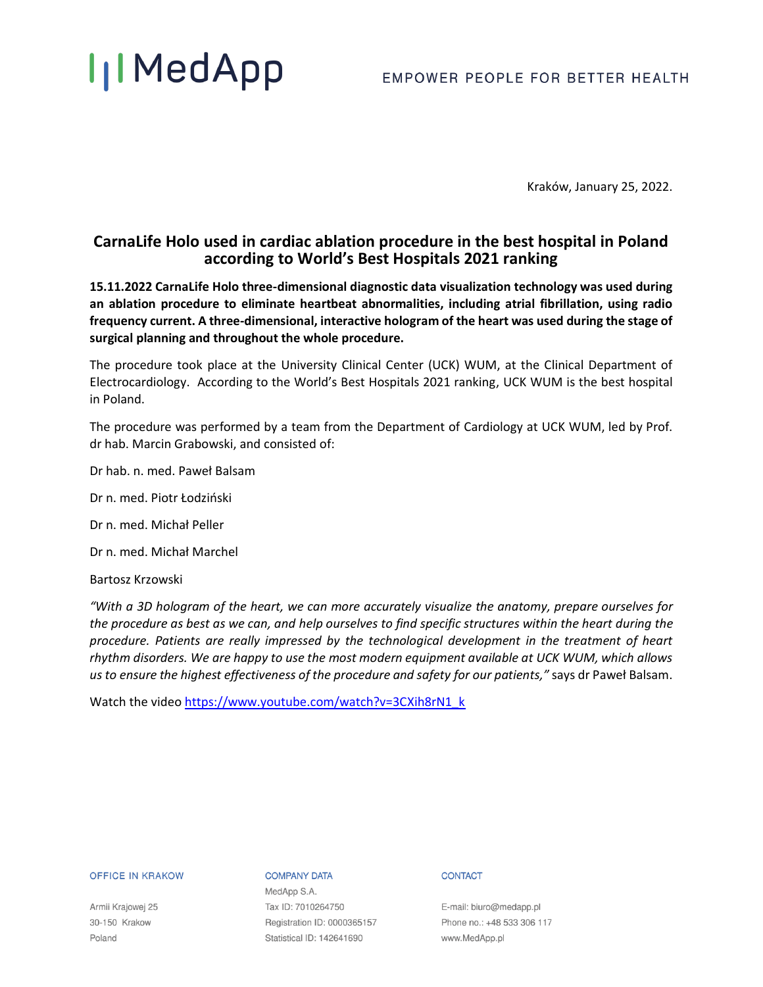## **IIMedApp**

### EMPOWER PEOPLE FOR BETTER HEALTH

Kraków, January 25, 2022.

## **CarnaLife Holo used in cardiac ablation procedure in the best hospital in Poland according to World's Best Hospitals 2021 ranking**

**15.11.2022 CarnaLife Holo three-dimensional diagnostic data visualization technology was used during an ablation procedure to eliminate heartbeat abnormalities, including atrial fibrillation, using radio frequency current. A three-dimensional, interactive hologram of the heart was used during the stage of surgical planning and throughout the whole procedure.** 

The procedure took place at the University Clinical Center (UCK) WUM, at the Clinical Department of Electrocardiology. According to the World's Best Hospitals 2021 ranking, UCK WUM is the best hospital in Poland.

The procedure was performed by a team from the Department of Cardiology at UCK WUM, led by Prof. dr hab. Marcin Grabowski, and consisted of:

Dr hab. n. med. Paweł Balsam

- Dr n. med. Piotr Łodziński
- Dr n. med. Michał Peller

Dr n. med. Michał Marchel

Bartosz Krzowski

*"With a 3D hologram of the heart, we can more accurately visualize the anatomy, prepare ourselves for the procedure as best as we can, and help ourselves to find specific structures within the heart during the procedure. Patients are really impressed by the technological development in the treatment of heart rhythm disorders. We are happy to use the most modern equipment available at UCK WUM, which allows us to ensure the highest effectiveness of the procedure and safety for our patients,"* says dr Paweł Balsam.

Watch the video [https://www.youtube.com/watch?v=3CXih8rN1\\_k](https://www.youtube.com/watch?v=3CXih8rN1_k)

### **OFFICE IN KRAKOW**

Armii Krajowej 25 30-150 Krakow Poland

### **COMPANY DATA**

MedApp S.A. Tax ID: 7010264750 Registration ID: 0000365157 Statistical ID: 142641690

#### **CONTACT**

E-mail: biuro@medapp.pl Phone no.: +48 533 306 117 www.MedApp.pl